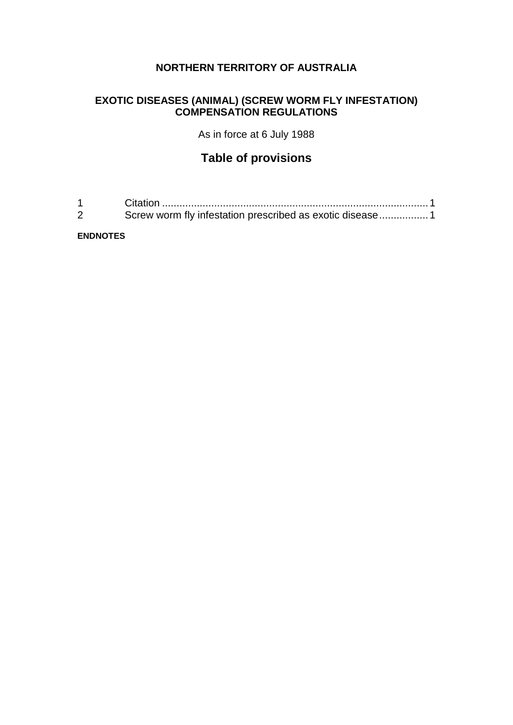# **NORTHERN TERRITORY OF AUSTRALIA**

# **EXOTIC DISEASES (ANIMAL) (SCREW WORM FLY INFESTATION) COMPENSATION REGULATIONS**

As in force at 6 July 1988

# **Table of provisions**

| Screw worm fly infestation prescribed as exotic disease1 |
|----------------------------------------------------------|

#### **ENDNOTES**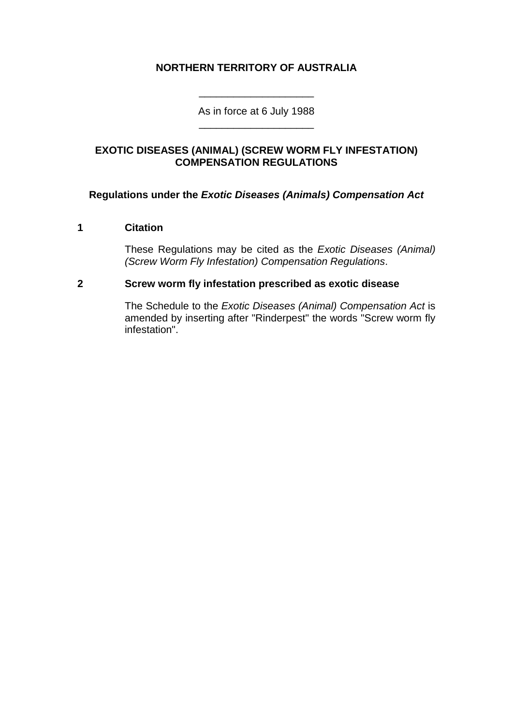## **NORTHERN TERRITORY OF AUSTRALIA**

As in force at 6 July 1988 \_\_\_\_\_\_\_\_\_\_\_\_\_\_\_\_\_\_\_\_

\_\_\_\_\_\_\_\_\_\_\_\_\_\_\_\_\_\_\_\_

### **EXOTIC DISEASES (ANIMAL) (SCREW WORM FLY INFESTATION) COMPENSATION REGULATIONS**

### **Regulations under the** *Exotic Diseases (Animals) Compensation Act*

#### **1 Citation**

These Regulations may be cited as the *Exotic Diseases (Animal) (Screw Worm Fly Infestation) Compensation Regulations*.

#### **2 Screw worm fly infestation prescribed as exotic disease**

The Schedule to the *Exotic Diseases (Animal) Compensation Act* is amended by inserting after "Rinderpest" the words "Screw worm fly infestation".